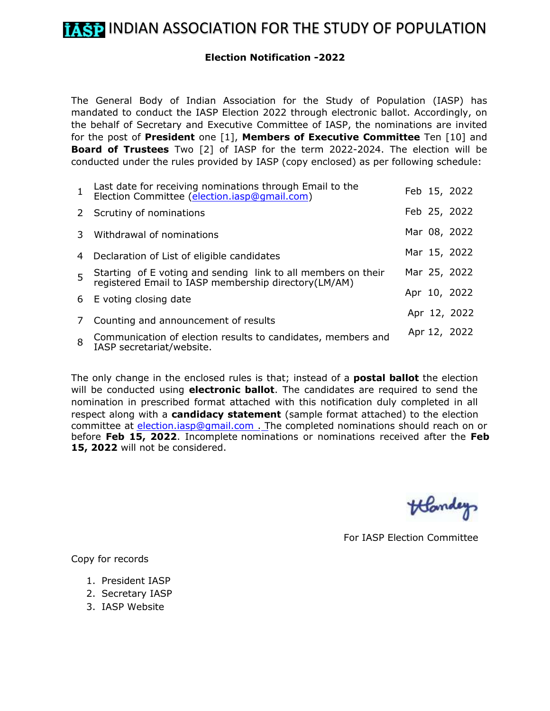## **Election Notification -2022**

The General Body of Indian Association for the Study of Population (IASP) has mandated to conduct the IASP Election 2022 through electronic ballot. Accordingly, on the behalf of Secretary and Executive Committee of IASP, the nominations are invited for the post of **President** one [1], **Members of Executive Committee** Ten [10] and **Board of Trustees** Two [2] of IASP for the term 2022-2024. The election will be conducted under the rules provided by IASP (copy enclosed) as per following schedule:

|              | Last date for receiving nominations through Email to the<br>Election Committee (election.iasp@gmail.com)           | Feb 15, 2022 |
|--------------|--------------------------------------------------------------------------------------------------------------------|--------------|
|              | 2 Scrutiny of nominations                                                                                          | Feb 25, 2022 |
| $\mathbf{3}$ | Withdrawal of nominations                                                                                          | Mar 08, 2022 |
|              | 4 Declaration of List of eligible candidates                                                                       | Mar 15, 2022 |
| 5            | Starting of E voting and sending link to all members on their registered Email to IASP membership directory(LM/AM) | Mar 25, 2022 |
|              | 6 E voting closing date                                                                                            | Apr 10, 2022 |
| 7            | Counting and announcement of results                                                                               | Apr 12, 2022 |
| 8            | Communication of election results to candidates, members and<br>IASP secretariat/website.                          | Apr 12, 2022 |

The only change in the enclosed rules is that; instead of a **postal ballot** the election will be conducted using **electronic ballot**. The candidates are required to send the nomination in prescribed format attached with this notification duly completed in all respect along with a **candidacy statement** (sample format attached) to the election committee at election.iasp@gmail.com . The completed nominations should reach on or before **Feb 15, 2022**. Incomplete nominations or nominations received after the **Feb 15, 2022** will not be considered.

Handey

For IASP Election Committee

Copy for records

- 1. President IASP
- 2. Secretary IASP
- 3. IASP Website